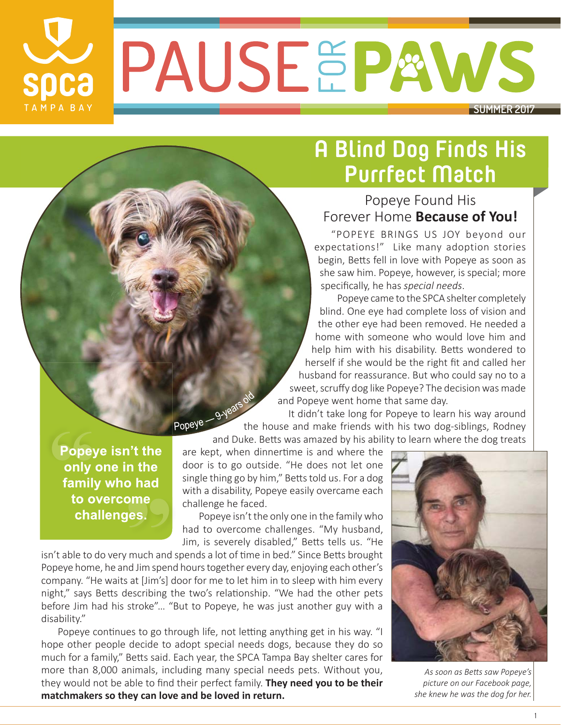PAUSEEPAWS **SUMMER 2017**

## **A Blind Dog Finds His Purrfect Match**

### Popeye Found His Forever Home **Because of You!**

"POPEYE BRINGS US JOY beyond our expectations!" Like many adoption stories begin, Betts fell in love with Popeye as soon as she saw him. Popeye, however, is special; more specifi cally, he has *special needs*.

Popeye came to the SPCA shelter completely blind. One eye had complete loss of vision and the other eye had been removed. He needed a home with someone who would love him and help him with his disability. Betts wondered to herself if she would be the right fit and called her husband for reassurance. But who could say no to a sweet, scruffy dog like Popeye? The decision was made and Popeye went home that same day.

 It didn't take long for Popeye to learn his way around the house and make friends with his two dog-siblings, Rodney and Duke. Betts was amazed by his ability to learn his way around<br>and Duke. Betts was amazed by his ability to learn where the dog treats

Popeye isn't the only one in the family who had to overcome challenges.

**SDCa** 

TAMPA BAY

are kept, when dinnertime is and where the door is to go outside. "He does not let one single thing go by him," Betts told us. For a dog with a disability, Popeye easily overcame each challenge he faced.

Popeye isn't the only one in the family who had to overcome challenges. "My husband, Jim, is severely disabled," Betts tells us. "He

isn't able to do very much and spends a lot of time in bed." Since Betts brought Popeye home, he and Jim spend hours together every day, enjoying each other's company. "He waits at [Jim's] door for me to let him in to sleep with him every night," says Betts describing the two's relationship. "We had the other pets before Jim had his stroke"… "But to Popeye, he was just another guy with a disability."

Popeye continues to go through life, not letting anything get in his way. "I hope other people decide to adopt special needs dogs, because they do so much for a family," Betts said. Each year, the SPCA Tampa Bay shelter cares for more than 8,000 animals, including many special needs pets. Without you, they would not be able to find their perfect family. **They need you to be their matchmakers so they can love and be loved in return.** 



As soon as Betts saw Popeye's *picture on our Facebook page, she knew he was the dog for her.*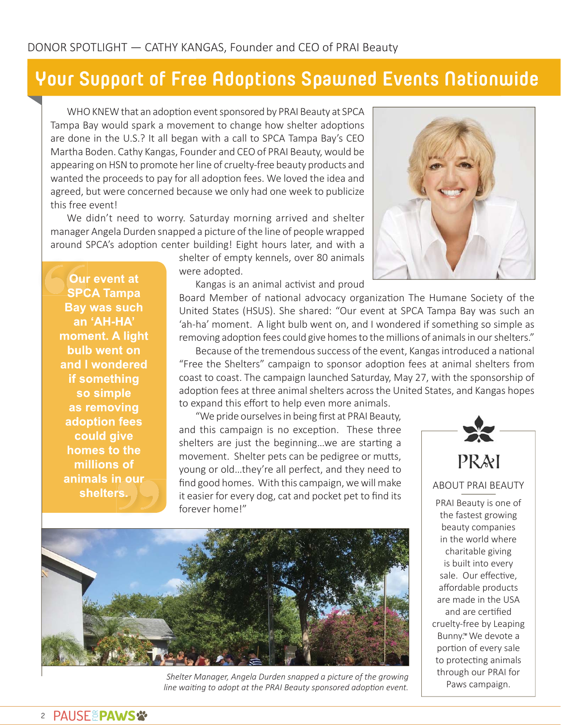### **Your Support of Free Adoptions Spawned Events Nationwide**

WHO KNEW that an adoption event sponsored by PRAI Beauty at SPCA Tampa Bay would spark a movement to change how shelter adoptions are done in the U.S.? It all began with a call to SPCA Tampa Bay's CEO Martha Boden. Cathy Kangas, Founder and CEO of PRAI Beauty, would be appearing on HSN to promote her line of cruelty-free beauty products and wanted the proceeds to pay for all adoption fees. We loved the idea and agreed, but were concerned because we only had one week to publicize this free event!

We didn't need to worry. Saturday morning arrived and shelter manager Angela Durden snapped a picture of the line of people wrapped around SPCA's adoption center building! Eight hours later, and with a

> shelter of empty kennels, over 80 animals were adopted.



Our event at **SPCA Tampa Bay was such** an 'AH-HA' moment. A light bulb went on and I wondered if something so simple as removing adoption fees could give homes to the millions of animals in our shelters.

Kangas is an animal activist and proud

Board Member of national advocacy organization The Humane Society of the United States (HSUS). She shared: "Our event at SPCA Tampa Bay was such an 'ah-ha' moment. A light bulb went on, and I wondered if something so simple as removing adoption fees could give homes to the millions of animals in our shelters."

Because of the tremendous success of the event, Kangas introduced a national "Free the Shelters" campaign to sponsor adoption fees at animal shelters from coast to coast. The campaign launched Saturday, May 27, with the sponsorship of adoption fees at three animal shelters across the United States, and Kangas hopes to expand this effort to help even more animals.

"We pride ourselves in being first at PRAI Beauty, and this campaign is no exception. These three shelters are just the beginning...we are starting a movement. Shelter pets can be pedigree or mutts, young or old…they're all perfect, and they need to find good homes. With this campaign, we will make it easier for every dog, cat and pocket pet to find its forever home!"



PRAI Beauty is one of the fastest growing

beauty companies in the world where charitable giving is built into every sale. Our effective, affordable products are made in the USA and are certified cruelty-free by Leaping Bunny.<sup>™</sup> We devote a portion of every sale to protecting animals through our PRAI for Paws campaign.



*Shelter Manager, Angela Durden snapped a picture of the growing* line waiting to adopt at the PRAI Beauty sponsored adoption event.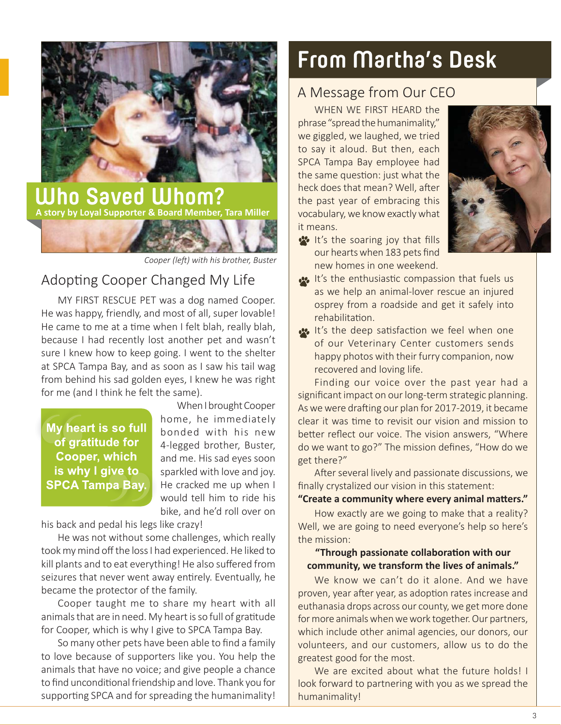

*Cooper (left) with his brother, Buster* 

### Adopting Cooper Changed My Life

MY FIRST RESCUE PET was a dog named Cooper. He was happy, friendly, and most of all, super lovable! He came to me at a time when I felt blah, really blah, because I had recently lost another pet and wasn't sure I knew how to keep going. I went to the shelter at SPCA Tampa Bay, and as soon as I saw his tail wag from behind his sad golden eyes, I knew he was right for me (and I think he felt the same).

#### My heart is so full of gratitude for **Cooper, which** is why I give to **SPCA Tampa Bay.**

When I brought Cooper home, he immediately bonded with his new 4-legged brother, Buster, and me. His sad eyes soon sparkled with love and joy. He cracked me up when I would tell him to ride his bike, and he'd roll over on

his back and pedal his legs like crazy!

He was not without some challenges, which really took my mind off the loss I had experienced. He liked to kill plants and to eat everything! He also suffered from seizures that never went away entirely. Eventually, he became the protector of the family.

Cooper taught me to share my heart with all animals that are in need. My heart is so full of gratitude for Cooper, which is why I give to SPCA Tampa Bay.

So many other pets have been able to find a family to love because of supporters like you. You help the animals that have no voice; and give people a chance to find unconditional friendship and love. Thank you for supporting SPCA and for spreading the humanimality!

## **From Martha's Desk**

#### A Message from Our CEO

WHEN WE FIRST HEARD the phrase "spread the humanimality," we giggled, we laughed, we tried to say it aloud. But then, each SPCA Tampa Bay employee had the same question: just what the heck does that mean? Well, after the past year of embracing this vocabulary, we know exactly what it means.



- **It's the soaring joy that fills** our hearts when 183 pets find new homes in one weekend.
- **It's the enthusiastic compassion that fuels us** as we help an animal-lover rescue an injured osprey from a roadside and get it safely into rehabilitation.
- **It's the deep satisfaction we feel when one** of our Veterinary Center customers sends happy photos with their furry companion, now recovered and loving life.

Finding our voice over the past year had a significant impact on our long-term strategic planning. As we were drafting our plan for 2017-2019, it became clear it was time to revisit our vision and mission to better reflect our voice. The vision answers, "Where do we want to go?" The mission defines, "How do we get there?"

After several lively and passionate discussions, we finally crystalized our vision in this statement:

#### "Create a community where every animal matters."

How exactly are we going to make that a reality? Well, we are going to need everyone's help so here's the mission:

#### **"Through passionate collaboraƟ on with our community, we transform the lives of animals."**

We know we can't do it alone. And we have proven, year after year, as adoption rates increase and euthanasia drops across our county, we get more done for more animals when we work together. Our partners, which include other animal agencies, our donors, our volunteers, and our customers, allow us to do the greatest good for the most.

We are excited about what the future holds! I look forward to partnering with you as we spread the humanimality!